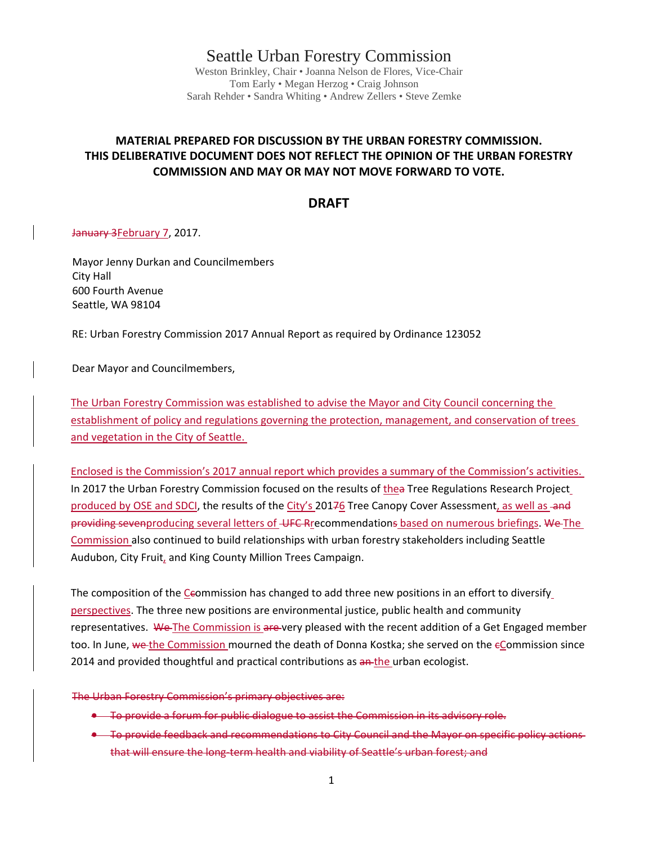Seattle Urban Forestry Commission

Weston Brinkley, Chair • Joanna Nelson de Flores, Vice-Chair Tom Early • Megan Herzog • Craig Johnson Sarah Rehder • Sandra Whiting • Andrew Zellers • Steve Zemke

## **MATERIAL PREPARED FOR DISCUSSION BY THE URBAN FORESTRY COMMISSION. THIS DELIBERATIVE DOCUMENT DOES NOT REFLECT THE OPINION OF THE URBAN FORESTRY COMMISSION AND MAY OR MAY NOT MOVE FORWARD TO VOTE.**

## **DRAFT**

January 3February 7, 2017.

Mayor Jenny Durkan and Councilmembers City Hall 600 Fourth Avenue Seattle, WA 98104

RE: Urban Forestry Commission 2017 Annual Report as required by Ordinance 123052

Dear Mayor and Councilmembers,

The Urban Forestry Commission was established to advise the Mayor and City Council concerning the establishment of policy and regulations governing the protection, management, and conservation of trees and vegetation in the City of Seattle.

Enclosed is the Commission's 2017 annual report which provides a summary of the Commission's activities. In 2017 the Urban Forestry Commission focused on the results of thea Tree Regulations Research Project produced by OSE and SDCI, the results of the City's 20176 Tree Canopy Cover Assessment, as well as and providing sevenproducing several letters of UFC Rrecommendations based on numerous briefings. We The Commission also continued to build relationships with urban forestry stakeholders including Seattle Audubon, City Fruit, and King County Million Trees Campaign.

The composition of the Ceommission has changed to add three new positions in an effort to diversify perspectives. The three new positions are environmental justice, public health and community representatives. We The Commission is are very pleased with the recent addition of a Get Engaged member too. In June, we the Commission mourned the death of Donna Kostka; she served on the eCommission since 2014 and provided thoughtful and practical contributions as an-the urban ecologist.

The Urban Forestry Commission's primary objectives are:

- To provide a forum for public dialogue to assist the Commission in its advisory role.
- To provide feedback and recommendations to City Council and the Mayor on specific policy actions that will ensure the long-term health and viability of Seattle's urban forest; and